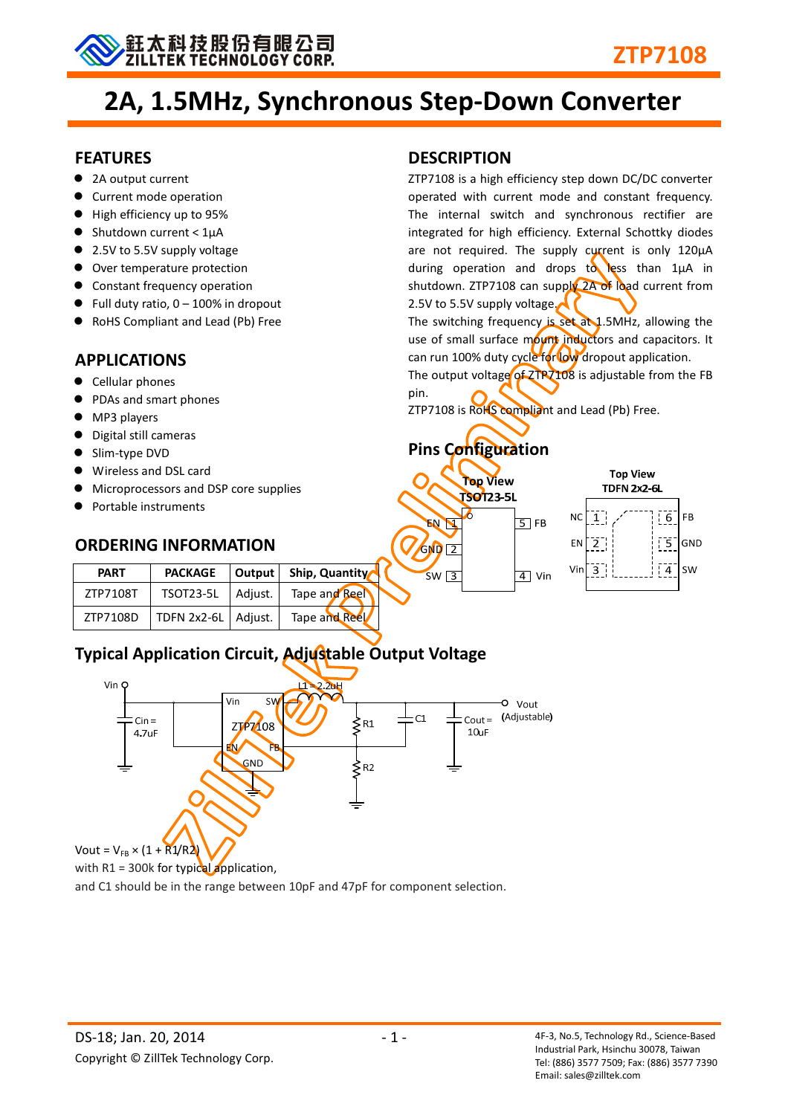

# 2A, 1.5MHz, Synchronous Step-Down Converter

#### FEATURES

- 2A output current
- Current mode operation
- High efficiency up to 95%
- $\bullet$  Shutdown current < 1µA
- 2.5V to 5.5V supply voltage
- $\bullet$  Over temperature protection
- **•** Constant frequency operation
- Full duty ratio,  $0 100\%$  in dropout
- RoHS Compliant and Lead (Pb) Free

### APPLICATIONS

- Cellular phones
- PDAs and smart phones
- MP3 players
- Digital still cameras
- Slim-type DVD
- Wireless and DSL card
- Microprocessors and DSP core supplies
- Portable instruments

### ORDERING INFORMATION

| <b>DESCRIPTION</b> |
|--------------------|
|                    |

ZTP7108 is a high efficiency step down DC/DC converter operated with current mode and constant frequency. The internal switch and synchronous rectifier are integrated for high efficiency. External Schottky diodes are not required. The supply current is only 120µA during operation and drops to less than  $1\mu A$  in shutdown. ZTP7108 can supply 2A of load current from 2.5V to 5.5V supply voltage.

The switching frequency is set at 1.5MHz, allowing the use of small surface mount inductors and capacitors. It can run 100% duty cycle for low dropout application.

The output voltage of ZTP7108 is adjustable from the FB pin.

ZTP7108 is RoHS compliant and Lead (Pb) Free.

# Pins Configuration



### Typical Application Circuit, Adjustable Output Voltage

 $ZTP7108D$  TDFN 2x2-6L Adjust. Tape and Reel



with  $R1 = 300k$  for typical application,

and C1 should be in the range between 10pF and 47pF for component selection.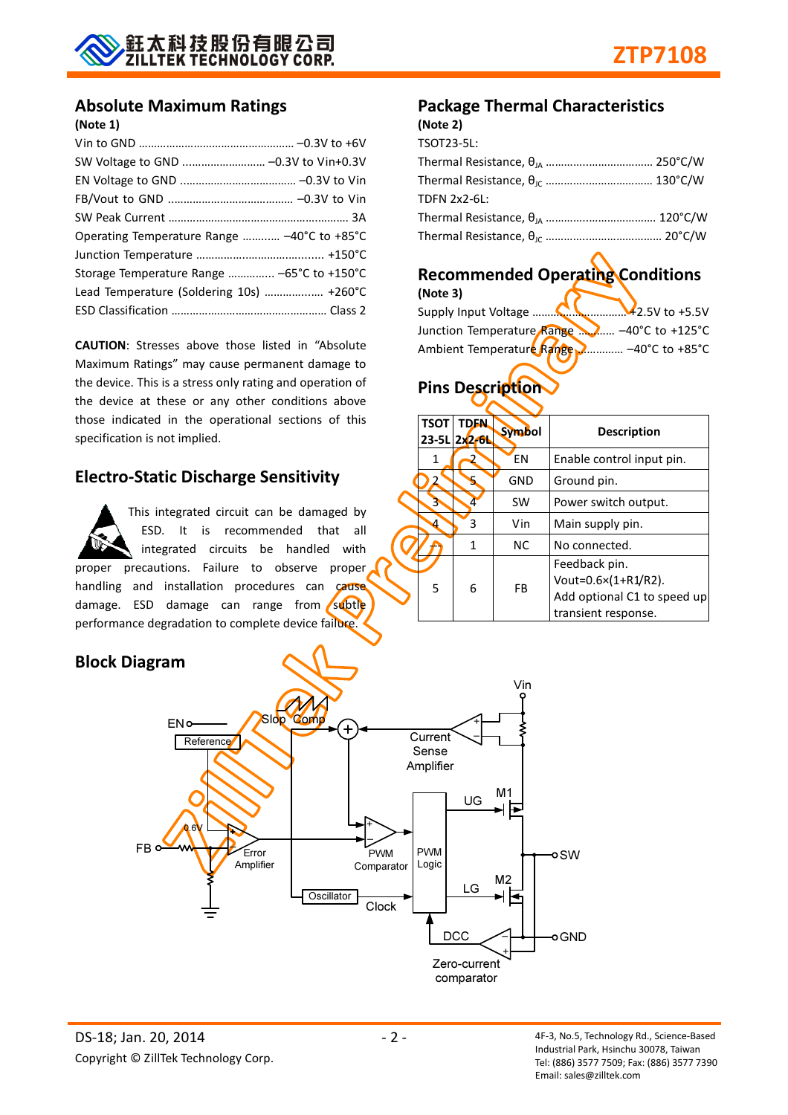

#### Absolute Maximum Ratings

#### (Note 1)

| Operating Temperature Range  -40°C to +85°C |
|---------------------------------------------|
|                                             |
| Storage Temperature Range  -65°C to +150°C  |
| Lead Temperature (Soldering 10s)  +260°C    |
|                                             |

CAUTION: Stresses above those listed in "Absolute Maximum Ratings" may cause permanent damage to the device. This is a stress only rating and operation of the device at these or any other conditions above those indicated in the operational sections of this specification is not implied.

#### Electro-Static Discharge Sensitivity

This integrated circuit can be damaged by ESD. It is recommended that all integrated circuits be handled with proper precautions. Failure to observe proper handling and installation procedures can cause damage. ESD damage can range from subtle performance degradation to complete device failure.

### Block Diagram



| 11101521          |  |
|-------------------|--|
| <b>TSOT23-5L:</b> |  |
|                   |  |
|                   |  |
| TDFN 2x2-6L:      |  |
|                   |  |
|                   |  |

# Recommended Operating Conditions

| (Note 3)                                     |  |
|----------------------------------------------|--|
|                                              |  |
| Junction Temperature Range 22 40°C to +125°C |  |
| Ambient Temperature Range  -40°C to +85°C    |  |

# Pins Description

| <b>TSOT</b>  | <b>TDFN</b><br>23-5L 2x2-6L | Symbol    | <b>Description</b>                                                                         |  |  |  |
|--------------|-----------------------------|-----------|--------------------------------------------------------------------------------------------|--|--|--|
| 1            |                             | EN        | Enable control input pin.                                                                  |  |  |  |
|              |                             | GND       | Ground pin.                                                                                |  |  |  |
| 3            |                             | <b>SW</b> | Power switch output.                                                                       |  |  |  |
| 4            | 3                           | Vin       | Main supply pin.                                                                           |  |  |  |
|              | 1                           | NC.       | No connected.                                                                              |  |  |  |
| 6<br>5<br>FB |                             |           | Feedback pin.<br>Vout=0.6×(1+R1/R2).<br>Add optional C1 to speed up<br>transient response. |  |  |  |

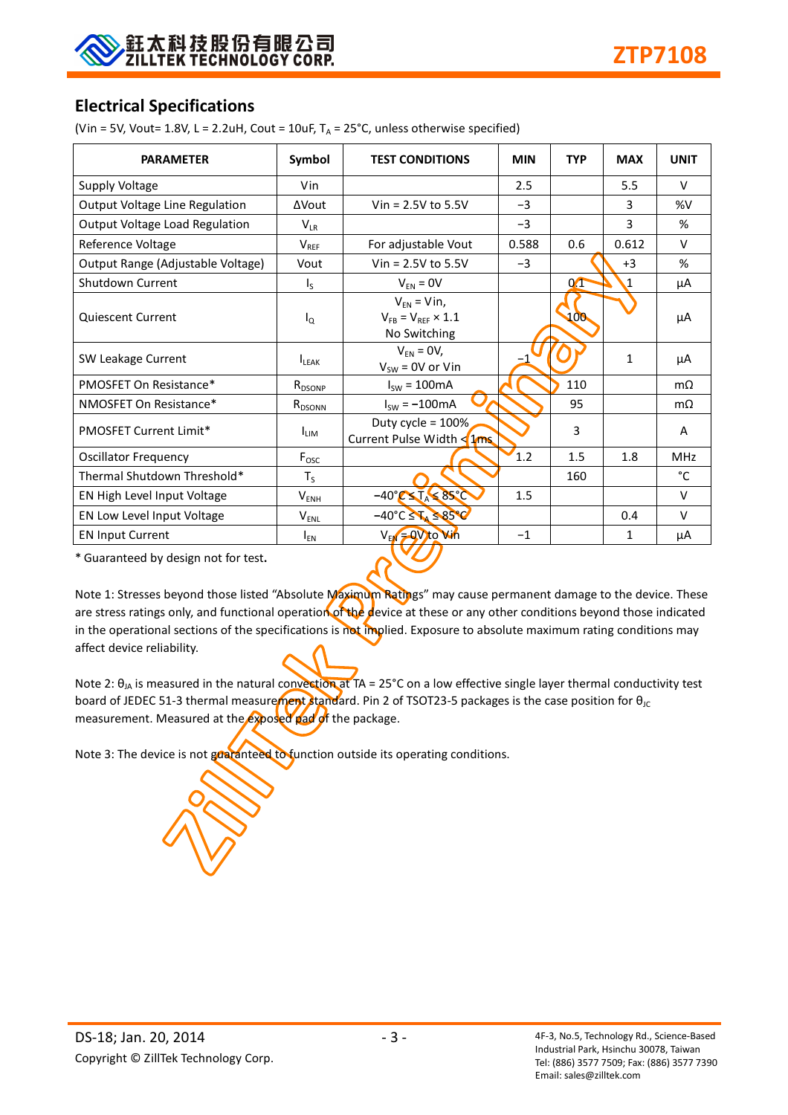

### Electrical Specifications

(Vin = 5V, Vout= 1.8V, L = 2.2uH, Cout = 10uF,  $T_A$  = 25°C, unless otherwise specified)

| <b>PARAMETER</b>                  | Symbol                    | <b>TEST CONDITIONS</b>                                            | <b>MIN</b> | <b>TYP</b>     | <b>MAX</b>   | <b>UNIT</b> |
|-----------------------------------|---------------------------|-------------------------------------------------------------------|------------|----------------|--------------|-------------|
| <b>Supply Voltage</b>             | Vin                       |                                                                   | 2.5        |                | 5.5          | $\vee$      |
| Output Voltage Line Regulation    | <b>AVout</b>              | Vin = $2.5V$ to $5.5V$                                            | $-3$       |                | 3            | %V          |
| Output Voltage Load Regulation    | $V_{LR}$                  |                                                                   | $-3$       |                | 3            | %           |
| Reference Voltage                 | $V_{REF}$                 | For adjustable Vout                                               | 0.588      | 0.6            | 0.612        | $\vee$      |
| Output Range (Adjustable Voltage) | Vout                      | $V$ in = 2.5V to 5.5V                                             | $-3$       |                | $+3$         | %           |
| <b>Shutdown Current</b>           | $\mathsf{I}_{\mathsf{S}}$ | $V_{EN} = 0V$                                                     |            | 0 <sub>1</sub> | $\mathbf{1}$ | μA          |
| <b>Quiescent Current</b>          | $I_{\Omega}$              | $V_{EN} = V$ in,<br>$V_{FB} = V_{REF} \times 1.1$<br>No Switching |            | 100            |              | μA          |
| SW Leakage Current                | <b>ILEAK</b>              | $V_{EN} = 0V$ ,<br>$V_{SW} = 0V$ or Vin                           |            |                | 1            | μA          |
| PMOSFET On Resistance*            | R <sub>DSONP</sub>        | $Isw = 100mA$                                                     |            | 110            |              | $m\Omega$   |
| NMOSFET On Resistance*            | R <sub>DSONN</sub>        | $I_{SW} = -100mA$                                                 |            | 95             |              | $m\Omega$   |
| PMOSFET Current Limit*            | $I_{LIM}$                 | Duty cycle = 100%<br>Current Pulse Width $\leq 1$ ms              |            | 3              |              | A           |
| <b>Oscillator Frequency</b>       | $F_{\text{OSC}}$          |                                                                   | 1.2        | 1.5            | 1.8          | <b>MHz</b>  |
| Thermal Shutdown Threshold*       | $T_S$                     |                                                                   |            | 160            |              | °C          |
| EN High Level Input Voltage       | $V_{ENH}$                 | $-40^{\circ}$ C $\leq$ $T_A \leq 85^{\circ}$ C                    | 1.5        |                |              | $\vee$      |
| EN Low Level Input Voltage        | <b>VENL</b>               | $-40^{\circ}$ C $\leq T_{A} \leq 85^{\circ}$ C                    |            |                | 0.4          | $\vee$      |
| <b>EN Input Current</b>           | $I_{EN}$                  | $V_{EN} = QV$ to Vin                                              | $-1$       |                | 1            | μA          |

\* Guaranteed by design not for test.

Note 1: Stresses beyond those listed "Absolute Maximum Ratings" may cause permanent damage to the device. These are stress ratings only, and functional operation of the device at these or any other conditions beyond those indicated in the operational sections of the specifications is not implied. Exposure to absolute maximum rating conditions may affect device reliability.

Note 2:  $\theta_{JA}$  is measured in the natural convection at TA = 25°C on a low effective single layer thermal conductivity test board of JEDEC 51-3 thermal measurement standard. Pin 2 of TSOT23-5 packages is the case position for  $\theta_{\text{JC}}$ measurement. Measured at the exposed pad of the package.

Note 3: The device is not guaranteed to function outside its operating conditions.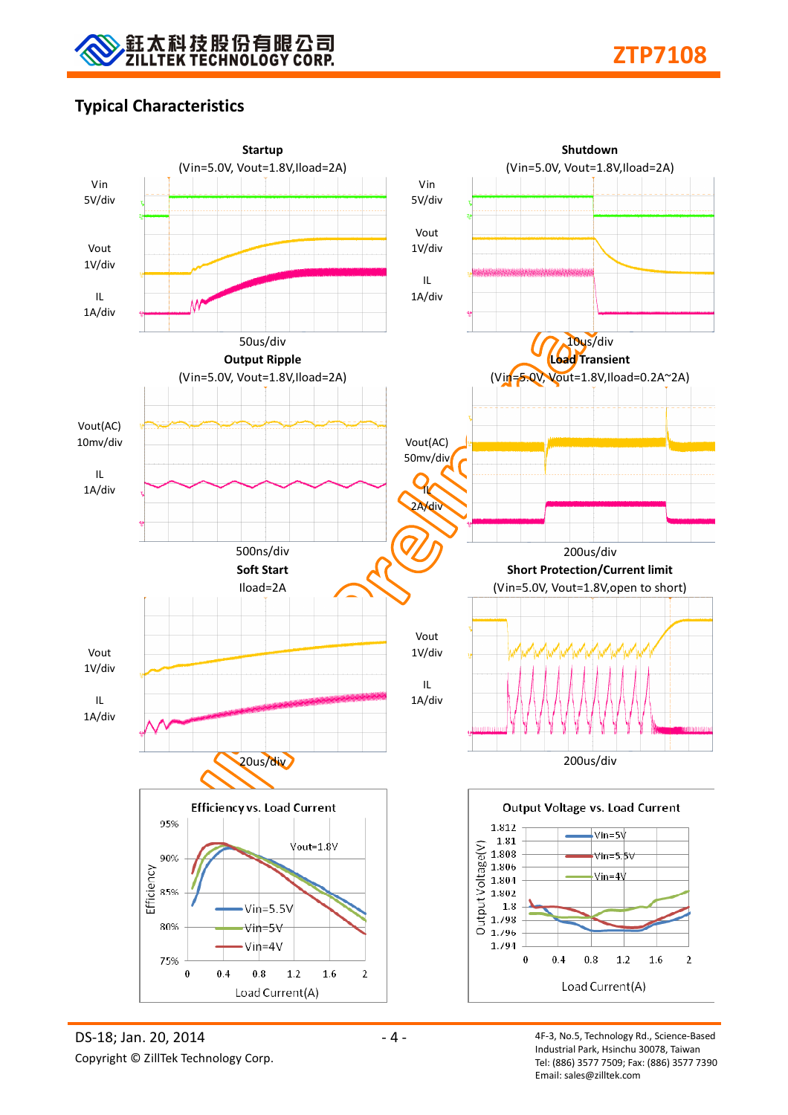

## Typical Characteristics



4F-3, No.5, Technology Rd., Science-Based Industrial Park, Hsinchu 30078, Taiwan Tel: (886) 3577 7509; Fax: (886) 3577 7390 Email: sales@zilltek.com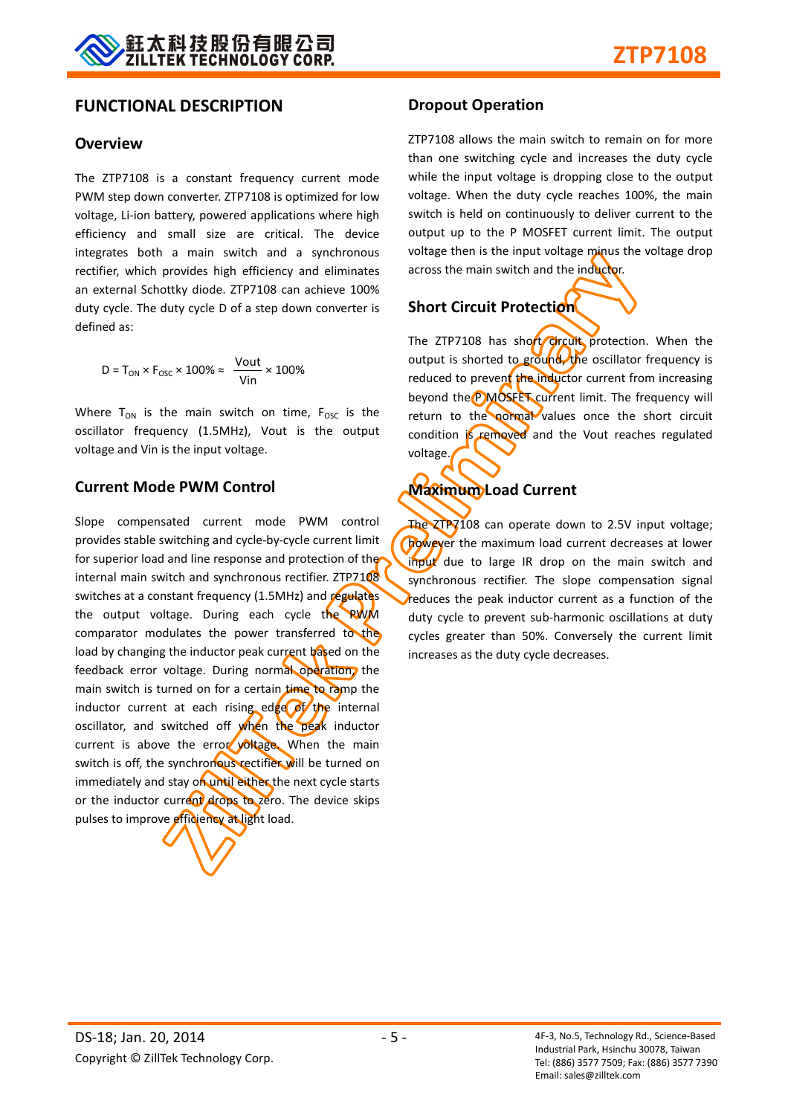#### FUNCTIONAL DESCRIPTION

#### **Overview**

The ZTP7108 is a constant frequency current mode PWM step down converter. ZTP7108 is optimized for low voltage, Li-ion battery, powered applications where high efficiency and small size are critical. The device integrates both a main switch and a synchronous rectifier, which provides high efficiency and eliminates an external Schottky diode. ZTP7108 can achieve 100% duty cycle. The duty cycle D of a step down converter is defined as:

$$
D = T_{ON} \times F_{OSC} \times 100\% \approx \frac{Vout}{Vin} \times 100\%
$$

Where  $T_{ON}$  is the main switch on time,  $F_{OSC}$  is the oscillator frequency (1.5MHz), Vout is the output voltage and Vin is the input voltage.

#### Current Mode PWM Control

Slope compensated current mode PWM control provides stable switching and cycle-by-cycle current limit for superior load and line response and protection of the internal main switch and synchronous rectifier. ZTP7108 switches at a constant frequency (1.5MHz) and regulates the output voltage. During each cycle the PWM comparator modulates the power transferred to the load by changing the inductor peak current based on the feedback error voltage. During normal operation, the main switch is turned on for a certain time to ramp the inductor current at each rising edge of the internal oscillator, and switched off when the peak inductor current is above the error voltage. When the main switch is off, the synchronous rectifier will be turned on immediately and stay on until either the next cycle starts or the inductor current drops to zero. The device skips pulses to improve efficiency at light load.

#### Dropout Operation

ZTP7108 allows the main switch to remain on for more than one switching cycle and increases the duty cycle while the input voltage is dropping close to the output voltage. When the duty cycle reaches 100%, the main switch is held on continuously to deliver current to the output up to the P MOSFET current limit. The output voltage then is the input voltage minus the voltage drop across the main switch and the inductor.

# **Short Circuit Protection**

The ZTP7108 has short circuit protection. When the output is shorted to ground, the oscillator frequency is reduced to prevent the inductor current from increasing beyond the **P MOSFET** current limit. The frequency will return to the normal values once the short circuit condition is removed and the Vout reaches regulated voltage.

# Maximum Load Current

The ZTP7108 can operate down to 2.5V input voltage; however the maximum load current decreases at lower input due to large IR drop on the main switch and synchronous rectifier. The slope compensation signal reduces the peak inductor current as a function of the duty cycle to prevent sub-harmonic oscillations at duty cycles greater than 50%. Conversely the current limit increases as the duty cycle decreases.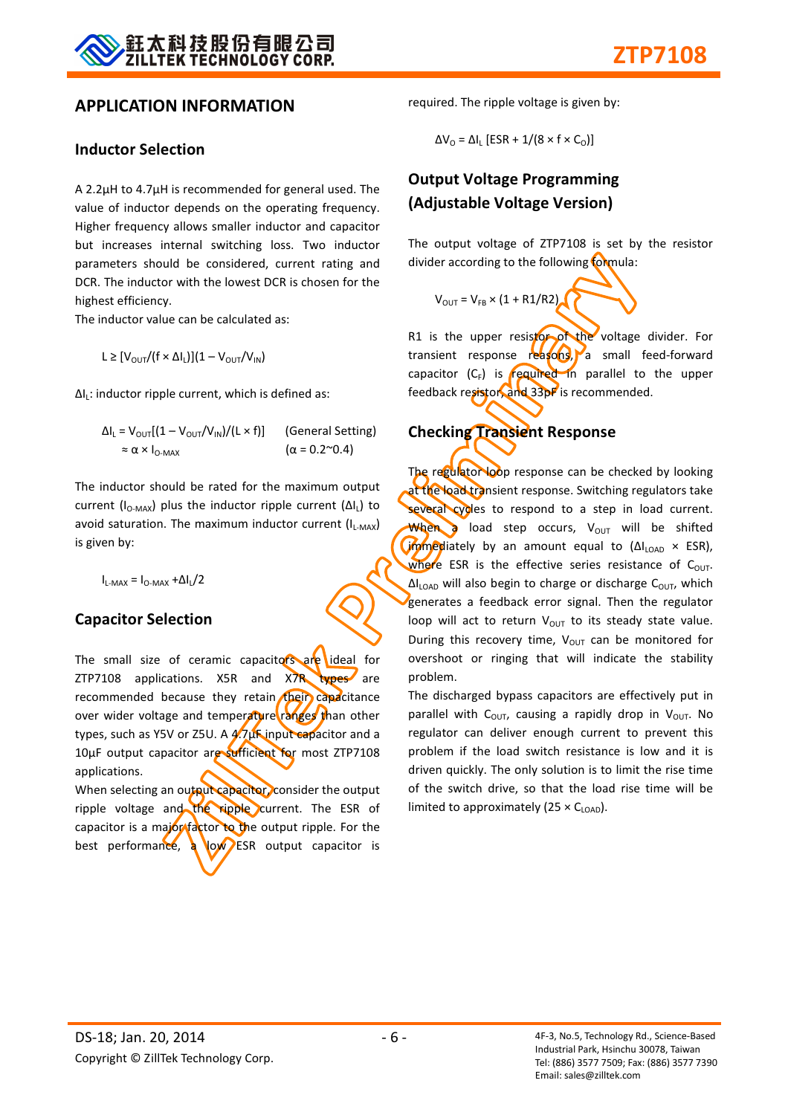#### APPLICATION INFORMATION

#### Inductor Selection

A 2.2μH to 4.7μH is recommended for general used. The value of inductor depends on the operating frequency. Higher frequency allows smaller inductor and capacitor but increases internal switching loss. Two inductor parameters should be considered, current rating and DCR. The inductor with the lowest DCR is chosen for the highest efficiency.

The inductor value can be calculated as:

 $L \geq [V_{\text{OUT}}/(f \times \Delta I_L)](1 - V_{\text{OUT}}/V_{\text{IN}})$ 

 $\Delta I_L$ : inductor ripple current, which is defined as:

 $\Delta I_L$  = V<sub>OUT</sub>[(1 – V<sub>OUT</sub>/V<sub>IN</sub>)/(L × f)] (General Setting)  $\approx \alpha \times I_{0-MAY}$  ( $\alpha = 0.2^{\sim}0.4$ )

The inductor should be rated for the maximum output current (I<sub>O-MAX</sub>) plus the inductor ripple current ( $\Delta I_L$ ) to avoid saturation. The maximum inductor current  $(I_{L-MAX})$ is given by:

 $I_{L=MAX} = I_{0=MAY} + \Delta I_L/2$ 

#### Capacitor Selection

The small size of ceramic capacitors are ideal for ZTP7108 applications. X5R and X7R types are recommended because they retain their capacitance over wider voltage and temperature ranges than other types, such as Y5V or Z5U. A 4.7μF input capacitor and a 10μF output capacitor are sufficient for most ZTP7108 applications.

When selecting an output capacitor, consider the output ripple voltage and the ripple current. The ESR of capacitor is a major factor to the output ripple. For the best performance, **a** low ESR output capacitor is

required. The ripple voltage is given by:

 $\Delta V_0 = \Delta I_L$  [ESR + 1/(8 × f × C<sub>0</sub>)]

## Output Voltage Programming (Adjustable Voltage Version)

The output voltage of ZTP7108 is set by the resistor divider according to the following formula:



R1 is the upper resistor of the voltage divider. For transient response reasons, a small feed-forward capacitor  $(C_F)$  is required in parallel to the upper feedback resistor, and 33pF is recommended.

#### Checking Transient Response

The regulator loop response can be checked by looking at the load transient response. Switching regulators take several cycles to respond to a step in load current. When a load step occurs,  $V_{OUT}$  will be shifted immediately by an amount equal to  $(\Delta I_{LOAD} \times ESR)$ , where ESR is the effective series resistance of  $C_{\text{OUT}}$ .  $\Delta I_{\text{LOAD}}$  will also begin to charge or discharge C<sub>OUT</sub>, which generates a feedback error signal. Then the regulator loop will act to return  $V_{OUT}$  to its steady state value. During this recovery time,  $V_{OUT}$  can be monitored for overshoot or ringing that will indicate the stability problem.

The discharged bypass capacitors are effectively put in parallel with  $C_{\text{OUT}}$ , causing a rapidly drop in  $V_{\text{OUT}}$ . No regulator can deliver enough current to prevent this problem if the load switch resistance is low and it is driven quickly. The only solution is to limit the rise time of the switch drive, so that the load rise time will be limited to approximately (25  $\times$  C<sub>LOAD</sub>).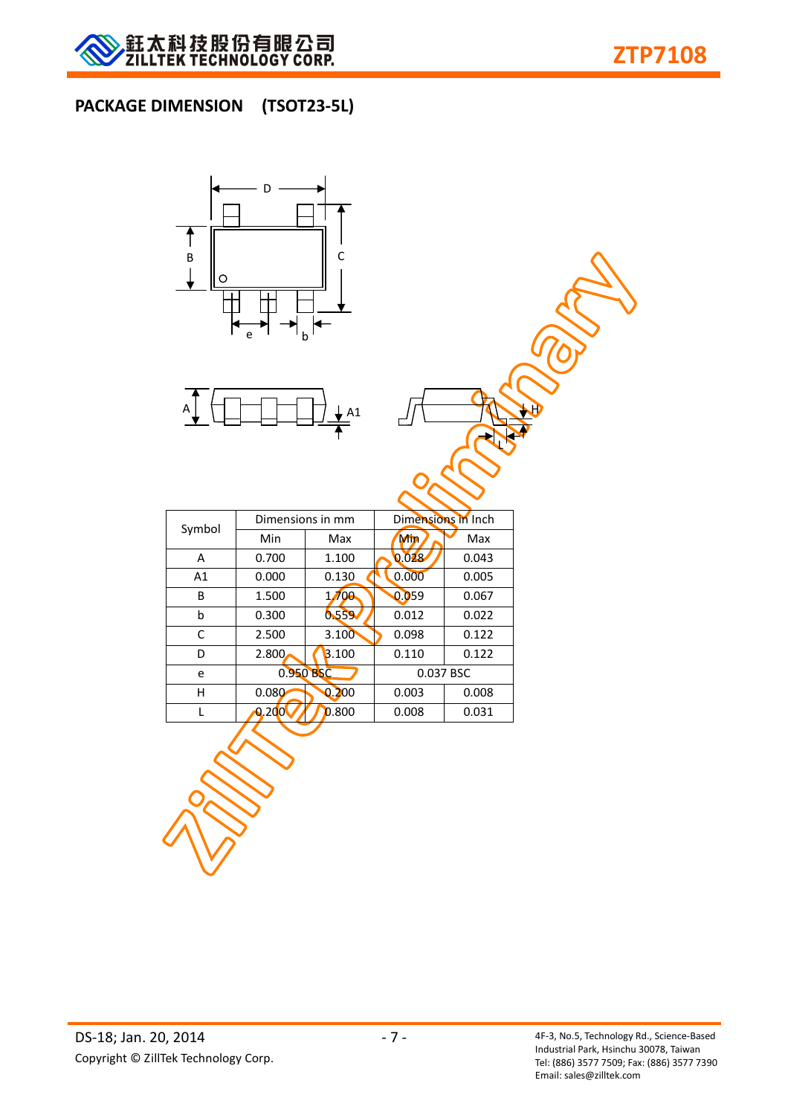# PACKAGE DIMENSION (TSOT23-5L)





| Symbol | Dimensions in mm |       | Dimensions in Inch |       |  |  |
|--------|------------------|-------|--------------------|-------|--|--|
|        | Min              | Max   | <b>Min</b>         | Max   |  |  |
| А      | 0.700            | 1.100 | 0.028              | 0.043 |  |  |
| Α1     | 0.000            | 0.130 | 0.000              | 0.005 |  |  |
| B      | 1.500            | 1,700 | 0.059              | 0.067 |  |  |
| b      | 0.300            | 0.559 | 0.012              | 0.022 |  |  |
| C      | 2.500            | 3.100 | 0.098              | 0.122 |  |  |
| D      | 2.800            | 3.100 | 0.110              | 0.122 |  |  |
| e      | 0.950 BSC        |       | 0.037 BSC          |       |  |  |
| н      | 0.080            | 0.200 | 0.003              | 0.008 |  |  |
|        | 0.200            | 0.800 | 0.008              | 0.031 |  |  |
|        |                  |       |                    |       |  |  |

L

DS-18; Jan. 20, 2014 Copyright © ZillTek Technology Corp.